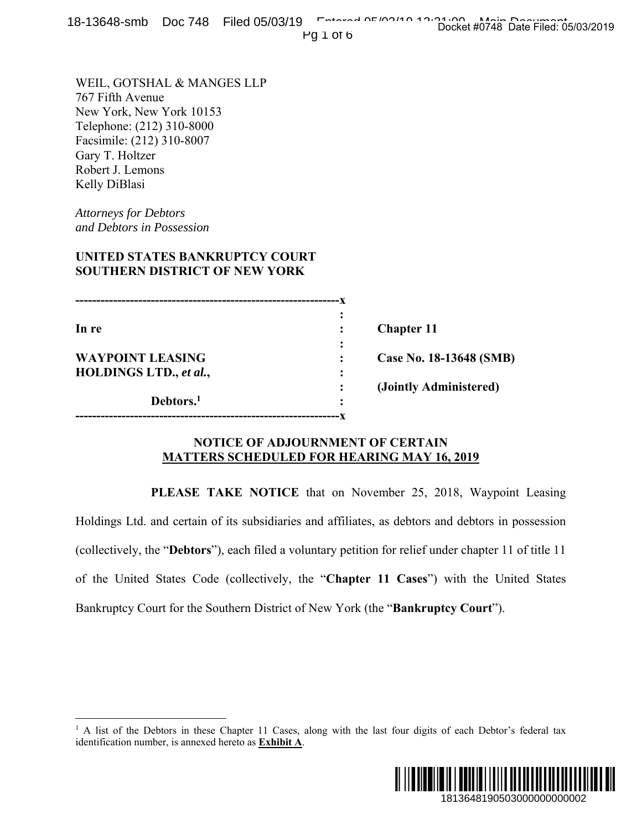Pg 1 of 6

WEIL, GOTSHAL & MANGES LLP 767 Fifth Avenue New York, New York 10153 Telephone: (212) 310-8000 Facsimile: (212) 310-8007 Gary T. Holtzer Robert J. Lemons Kelly DiBlasi

*Attorneys for Debtors and Debtors in Possession* 

 $\overline{a}$ 

## **UNITED STATES BANKRUPTCY COURT SOUTHERN DISTRICT OF NEW YORK**

**---------------------------------------------------------------x**   $\mathbf{r} = \mathbf{r} \cdot \mathbf{r}$  :  $\mathbf{r} = \mathbf{r} \cdot \mathbf{r}$  ,  $\mathbf{r} = \mathbf{r} \cdot \mathbf{r}$  ,  $\mathbf{r} = \mathbf{r} \cdot \mathbf{r}$  ,  $\mathbf{r} = \mathbf{r} \cdot \mathbf{r}$  ,  $\mathbf{r} = \mathbf{r} \cdot \mathbf{r}$  ,  $\mathbf{r} = \mathbf{r} \cdot \mathbf{r}$  ,  $\mathbf{r} = \mathbf{r} \cdot \mathbf{r}$  ,  $\mathbf{r} = \mathbf{r$ **In re** : **Chapter 11** *x*  $\mathbf{r}$   $\mathbf{r}$   $\mathbf{r}$   $\mathbf{r}$   $\mathbf{r}$   $\mathbf{r}$   $\mathbf{r}$   $\mathbf{r}$   $\mathbf{r}$   $\mathbf{r}$   $\mathbf{r}$   $\mathbf{r}$   $\mathbf{r}$   $\mathbf{r}$   $\mathbf{r}$   $\mathbf{r}$   $\mathbf{r}$   $\mathbf{r}$   $\mathbf{r}$   $\mathbf{r}$   $\mathbf{r}$   $\mathbf{r}$   $\mathbf{r}$   $\mathbf{r}$  **WAYPOINT LEASING : Case No. 18-13648 (SMB) HOLDINGS LTD., et al., : (Jointly Administered) Debtors.1**  *:*   $\frac{1}{2}$  **:**  $\frac{1}{2}$  **:**  $\frac{1}{2}$  **:**  $\frac{1}{2}$  **:**  $\frac{1}{2}$  **:**  $\frac{1}{2}$  **:**  $\frac{1}{2}$  **:**  $\frac{1}{2}$  **:**  $\frac{1}{2}$  **:**  $\frac{1}{2}$  **:**  $\frac{1}{2}$  **:**  $\frac{1}{2}$  **:**  $\frac{1}{2}$  **:**  $\frac{1}{2}$  **:**  $\frac{1}{2}$  **:**  $\frac{$ **---------------------------------------------------------------x** 

#### **NOTICE OF ADJOURNMENT OF CERTAIN MATTERS SCHEDULED FOR HEARING MAY 16, 2019**

 **PLEASE TAKE NOTICE** that on November 25, 2018, Waypoint Leasing Holdings Ltd. and certain of its subsidiaries and affiliates, as debtors and debtors in possession (collectively, the "**Debtors**"), each filed a voluntary petition for relief under chapter 11 of title 11 of the United States Code (collectively, the "**Chapter 11 Cases**") with the United States Bankruptcy Court for the Southern District of New York (the "**Bankruptcy Court**"). 1813648190503000000000002 Docket #0748 Date Filed: 05/03/2019

<sup>&</sup>lt;sup>1</sup> A list of the Debtors in these Chapter 11 Cases, along with the last four digits of each Debtor's federal tax identification number, is annexed hereto as **Exhibit A**.

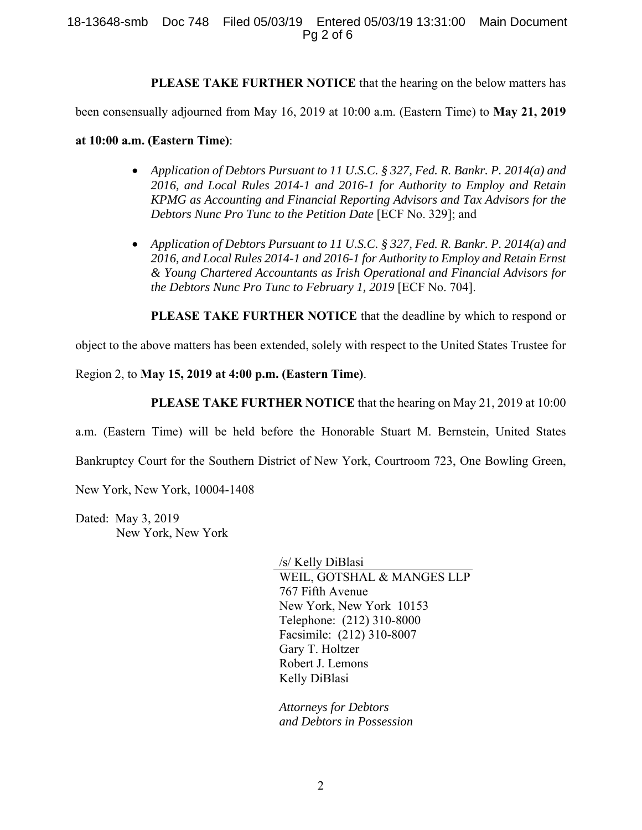**PLEASE TAKE FURTHER NOTICE** that the hearing on the below matters has

been consensually adjourned from May 16, 2019 at 10:00 a.m. (Eastern Time) to **May 21, 2019** 

**at 10:00 a.m. (Eastern Time)**:

- *Application of Debtors Pursuant to 11 U.S.C. § 327, Fed. R. Bankr. P. 2014(a) and 2016, and Local Rules 2014-1 and 2016-1 for Authority to Employ and Retain KPMG as Accounting and Financial Reporting Advisors and Tax Advisors for the Debtors Nunc Pro Tunc to the Petition Date* [ECF No. 329]; and
- *Application of Debtors Pursuant to 11 U.S.C. § 327, Fed. R. Bankr. P. 2014(a) and 2016, and Local Rules 2014-1 and 2016-1 for Authority to Employ and Retain Ernst & Young Chartered Accountants as Irish Operational and Financial Advisors for the Debtors Nunc Pro Tunc to February 1, 2019* [ECF No. 704].

**PLEASE TAKE FURTHER NOTICE** that the deadline by which to respond or

object to the above matters has been extended, solely with respect to the United States Trustee for

Region 2, to **May 15, 2019 at 4:00 p.m. (Eastern Time)**.

**PLEASE TAKE FURTHER NOTICE** that the hearing on May 21, 2019 at 10:00

a.m. (Eastern Time) will be held before the Honorable Stuart M. Bernstein, United States

Bankruptcy Court for the Southern District of New York, Courtroom 723, One Bowling Green,

New York, New York, 10004-1408

Dated: May 3, 2019 New York, New York

> /s/ Kelly DiBlasi WEIL, GOTSHAL & MANGES LLP 767 Fifth Avenue New York, New York 10153 Telephone: (212) 310-8000 Facsimile: (212) 310-8007 Gary T. Holtzer Robert J. Lemons Kelly DiBlasi

*Attorneys for Debtors and Debtors in Possession*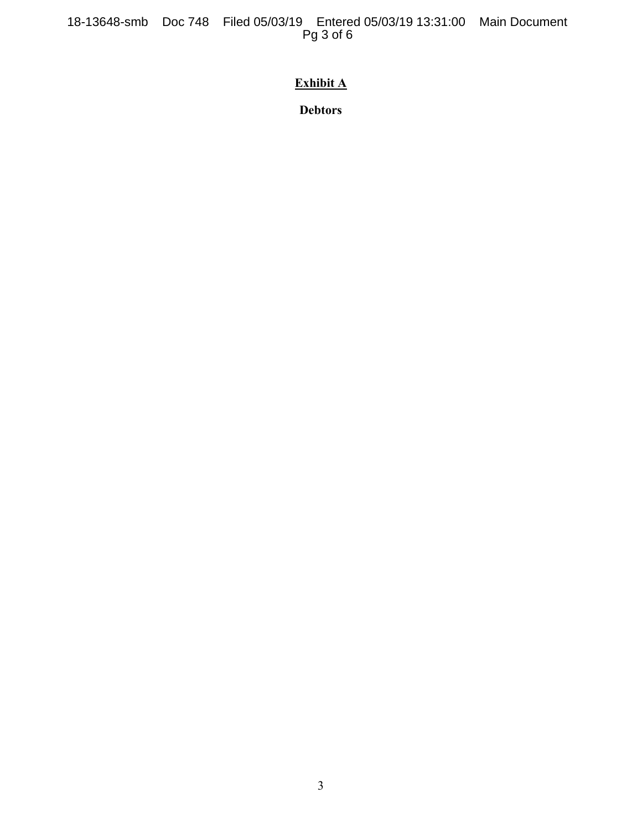18-13648-smb Doc 748 Filed 05/03/19 Entered 05/03/19 13:31:00 Main Document Pg 3 of 6

# **Exhibit A**

**Debtors**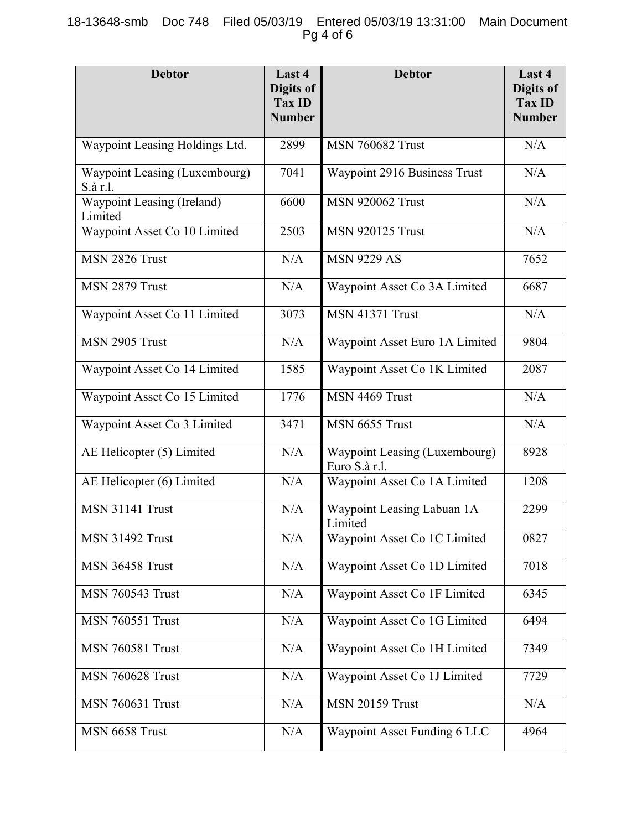### 18-13648-smb Doc 748 Filed 05/03/19 Entered 05/03/19 13:31:00 Main Document Pg 4 of 6

| <b>Debtor</b>                             | Last 4<br>Digits of<br><b>Tax ID</b><br><b>Number</b> | <b>Debtor</b>                                         | Last 4<br>Digits of<br><b>Tax ID</b><br><b>Number</b> |
|-------------------------------------------|-------------------------------------------------------|-------------------------------------------------------|-------------------------------------------------------|
| Waypoint Leasing Holdings Ltd.            | 2899                                                  | <b>MSN 760682 Trust</b>                               | N/A                                                   |
| Waypoint Leasing (Luxembourg)<br>S.à r.l. | 7041                                                  | Waypoint 2916 Business Trust                          | N/A                                                   |
| Waypoint Leasing (Ireland)<br>Limited     | 6600                                                  | <b>MSN 920062 Trust</b>                               | N/A                                                   |
| Waypoint Asset Co 10 Limited              | 2503                                                  | <b>MSN 920125 Trust</b>                               | N/A                                                   |
| MSN 2826 Trust                            | N/A                                                   | <b>MSN 9229 AS</b>                                    | 7652                                                  |
| MSN 2879 Trust                            | N/A                                                   | Waypoint Asset Co 3A Limited                          | 6687                                                  |
| Waypoint Asset Co 11 Limited              | 3073                                                  | <b>MSN 41371 Trust</b>                                | N/A                                                   |
| MSN 2905 Trust                            | N/A                                                   | Waypoint Asset Euro 1A Limited                        | 9804                                                  |
| Waypoint Asset Co 14 Limited              | 1585                                                  | Waypoint Asset Co 1K Limited                          | 2087                                                  |
| Waypoint Asset Co 15 Limited              | 1776                                                  | MSN 4469 Trust                                        | N/A                                                   |
| Waypoint Asset Co 3 Limited               | 3471                                                  | MSN 6655 Trust                                        | N/A                                                   |
| AE Helicopter (5) Limited                 | N/A                                                   | <b>Waypoint Leasing (Luxembourg)</b><br>Euro S.à r.l. | 8928                                                  |
| AE Helicopter (6) Limited                 | N/A                                                   | Waypoint Asset Co 1A Limited                          | 1208                                                  |
| <b>MSN 31141 Trust</b>                    | N/A                                                   | Waypoint Leasing Labuan 1A<br>Limited                 | 2299                                                  |
| <b>MSN 31492 Trust</b>                    | N/A                                                   | Waypoint Asset Co 1C Limited                          | 0827                                                  |
| <b>MSN 36458 Trust</b>                    | N/A                                                   | Waypoint Asset Co 1D Limited                          | 7018                                                  |
| <b>MSN 760543 Trust</b>                   | N/A                                                   | Waypoint Asset Co 1F Limited                          | 6345                                                  |
| <b>MSN 760551 Trust</b>                   | N/A                                                   | Waypoint Asset Co 1G Limited                          | 6494                                                  |
| <b>MSN 760581 Trust</b>                   | N/A                                                   | Waypoint Asset Co 1H Limited                          | 7349                                                  |
| <b>MSN 760628 Trust</b>                   | N/A                                                   | Waypoint Asset Co 1J Limited                          | 7729                                                  |
| <b>MSN 760631 Trust</b>                   | N/A                                                   | <b>MSN 20159 Trust</b>                                | N/A                                                   |
| MSN 6658 Trust                            | N/A                                                   | Waypoint Asset Funding 6 LLC                          | 4964                                                  |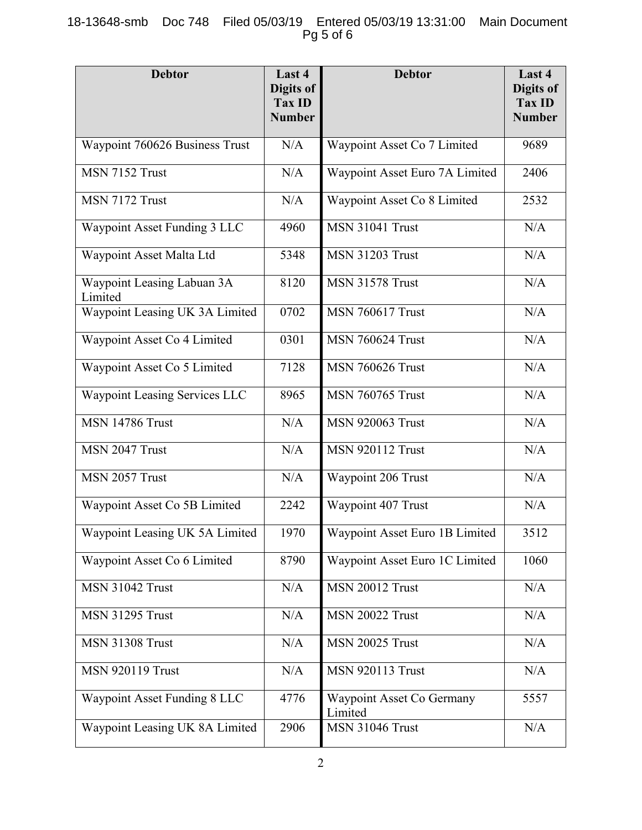## 18-13648-smb Doc 748 Filed 05/03/19 Entered 05/03/19 13:31:00 Main Document Pg 5 of 6

| <b>Debtor</b>                         | Last 4<br>Digits of<br>Tax ID<br><b>Number</b> | <b>Debtor</b>                        | Last 4<br>Digits of<br><b>Tax ID</b><br><b>Number</b> |
|---------------------------------------|------------------------------------------------|--------------------------------------|-------------------------------------------------------|
| Waypoint 760626 Business Trust        | N/A                                            | Waypoint Asset Co 7 Limited          | 9689                                                  |
| MSN 7152 Trust                        | N/A                                            | Waypoint Asset Euro 7A Limited       | 2406                                                  |
| MSN 7172 Trust                        | N/A                                            | Waypoint Asset Co 8 Limited          | 2532                                                  |
| Waypoint Asset Funding 3 LLC          | 4960                                           | <b>MSN 31041 Trust</b>               | N/A                                                   |
| Waypoint Asset Malta Ltd              | 5348                                           | <b>MSN 31203 Trust</b>               | N/A                                                   |
| Waypoint Leasing Labuan 3A<br>Limited | 8120                                           | <b>MSN 31578 Trust</b>               | N/A                                                   |
| Waypoint Leasing UK 3A Limited        | 0702                                           | <b>MSN 760617 Trust</b>              | N/A                                                   |
| Waypoint Asset Co 4 Limited           | 0301                                           | <b>MSN 760624 Trust</b>              | N/A                                                   |
| Waypoint Asset Co 5 Limited           | 7128                                           | <b>MSN 760626 Trust</b>              | N/A                                                   |
| Waypoint Leasing Services LLC         | 8965                                           | <b>MSN 760765 Trust</b>              | N/A                                                   |
| <b>MSN 14786 Trust</b>                | N/A                                            | <b>MSN 920063 Trust</b>              | N/A                                                   |
| MSN 2047 Trust                        | N/A                                            | <b>MSN 920112 Trust</b>              | N/A                                                   |
| MSN 2057 Trust                        | N/A                                            | Waypoint 206 Trust                   | N/A                                                   |
| Waypoint Asset Co 5B Limited          | 2242                                           | Waypoint 407 Trust                   | N/A                                                   |
| Waypoint Leasing UK 5A Limited        | 1970                                           | Waypoint Asset Euro 1B Limited       | 3512                                                  |
| Waypoint Asset Co 6 Limited           | 8790                                           | Waypoint Asset Euro 1C Limited       | 1060                                                  |
| <b>MSN 31042 Trust</b>                | N/A                                            | <b>MSN 20012 Trust</b>               | N/A                                                   |
| <b>MSN 31295 Trust</b>                | N/A                                            | <b>MSN 20022 Trust</b>               | N/A                                                   |
| <b>MSN 31308 Trust</b>                | N/A                                            | <b>MSN 20025 Trust</b>               | N/A                                                   |
| <b>MSN 920119 Trust</b>               | N/A                                            | <b>MSN 920113 Trust</b>              | N/A                                                   |
| Waypoint Asset Funding 8 LLC          | 4776                                           | Waypoint Asset Co Germany<br>Limited | 5557                                                  |
| Waypoint Leasing UK 8A Limited        | 2906                                           | MSN 31046 Trust                      | N/A                                                   |